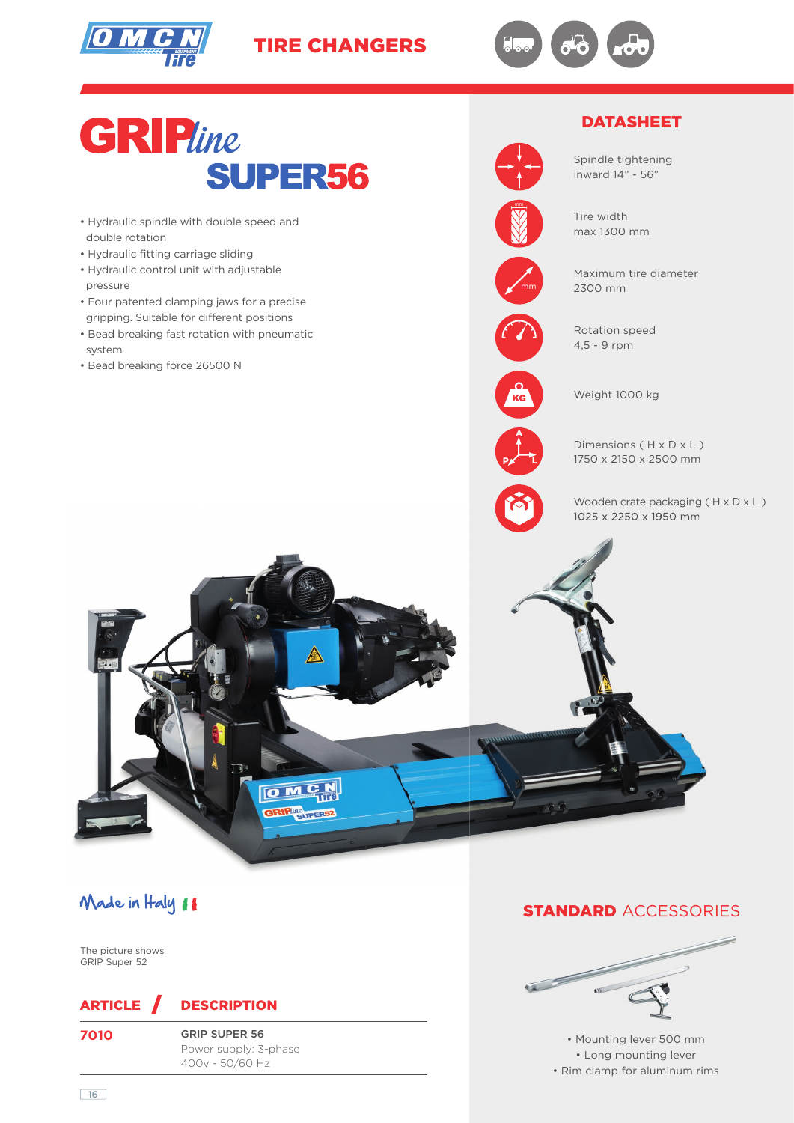

TIRE CHANGERS





# Made in Haly 11

The picture shows GRIP Super 52

## ARTICLE DESCRIPTION

**7010** G

| GRIP SUPER 56         |
|-----------------------|
| Power supply: 3-phase |
| 400v - 50/60 Hz       |

#### **STANDARD ACCESSORIES**



• Mounting lever 500 mm • Long mounting lever • Rim clamp for aluminum rims

16